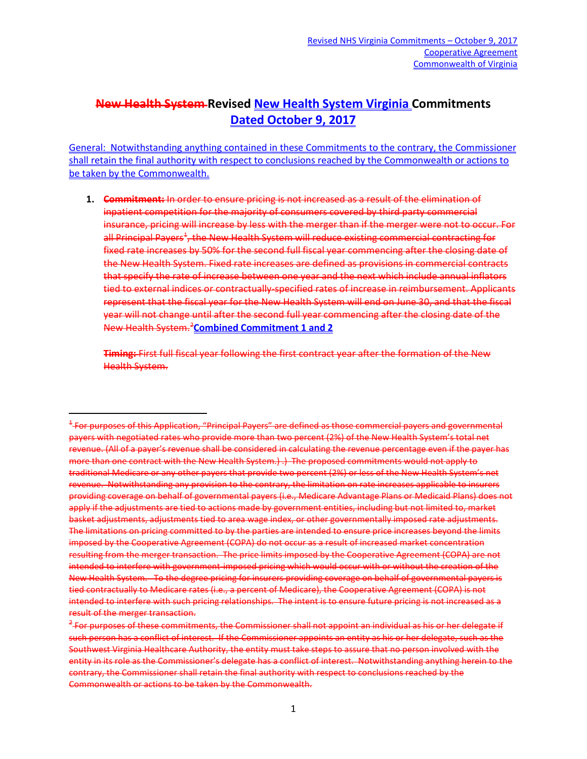## **New Health System Revised New Health System Virginia Commitments Dated October 9, 2017**

General: Notwithstanding anything contained in these Commitments to the contrary, the Commissioner shall retain the final authority with respect to conclusions reached by the Commonwealth or actions to be taken by the Commonwealth.

**1. Commitment:** In order to ensure pricing is not increased as a result of the elimination of inpatient competition for the majority of consumers covered by third party commercial insurance, pricing will increase by less with the merger than if the merger were not to occur. For all Principal Payers<sup>[1](#page-0-0)</sup>, the New Health System will reduce existing commercial contracting for fixed rate increases by 50% for the second full fiscal year commencing after the closing date of the New Health System. Fixed rate increases are defined as provisions in commercial contracts that specify the rate of increase between one year and the next which include annual inflators tied to external indices or contractually-specified rates of increase in reimbursement. Applicants represent that the fiscal year for the New Health System will end on June 30, and that the fiscal year will not change until after the second full year commencing after the closing date of the New Health System[.2](#page-0-1) **Combined Commitment 1 and 2**

**Timing:** First full fiscal year following the first contract year after the formation of the New Health System.

<span id="page-0-0"></span> <sup>1</sup> For purposes of this Application, "Principal Payers" are defined as those commercial payers and governmental payers with negotiated rates who provide more than two percent (2%) of the New Health System's total net revenue. (All of a payer's revenue shall be considered in calculating the revenue percentage even if the payer has more than one contract with the New Health System.) .) The proposed commitments would not apply to traditional Medicare or any other payers that provide two percent (2%) or less of the New Health System's net revenue. Notwithstanding any provision to the contrary, the limitation on rate increases applicable to insurers providing coverage on behalf of governmental payers (i.e., Medicare Advantage Plans or Medicaid Plans) does not apply if the adjustments are tied to actions made by government entities, including but not limited to, market basket adjustments, adjustments tied to area wage index, or other governmentally imposed rate adjustments. The limitations on pricing committed to by the parties are intended to ensure price increases beyond the limits imposed by the Cooperative Agreement (COPA) do not occur as a result of increased market concentration resulting from the merger transaction. The price limits imposed by the Cooperative Agreement (COPA) are not intended to interfere with government-imposed pricing which would occur with or without the creation of the New Health System. To the degree pricing for insurers providing coverage on behalf of governmental payers is tied contractually to Medicare rates (i.e., a percent of Medicare), the Cooperative Agreement (COPA) is not intended to interfere with such pricing relationships. The intent is to ensure future pricing is not increased as a result of the merger transaction.

<span id="page-0-1"></span><sup>&</sup>lt;sup>2</sup> For purposes of these commitments, the Commissioner shall not appoint an individual as his or her delegate if such person has a conflict of interest. If the Commissioner appoints an entity as his or her delegate, such as the Southwest Virginia Healthcare Authority, the entity must take steps to assure that no person involved with the entity in its role as the Commissioner's delegate has a conflict of interest. Notwithstanding anything herein to the contrary, the Commissioner shall retain the final authority with respect to conclusions reached by the Commonwealth or actions to be taken by the Commonwealth.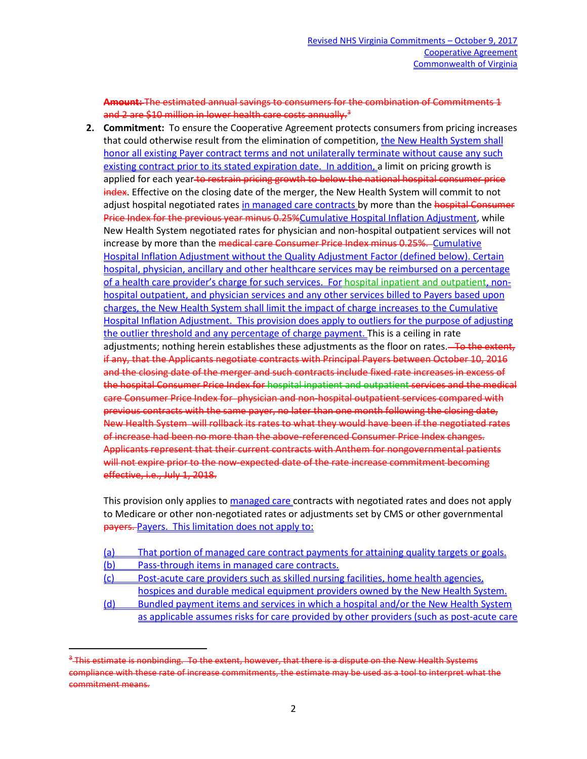**Amount:** The estimated annual savings to consumers for the combination of Commitments 1 and 2 are \$10 million in lower health care costs annually.<sup>[3](#page-1-0)</sup>

**2. Commitment:** To ensure the Cooperative Agreement protects consumers from pricing increases that could otherwise result from the elimination of competition, the New Health System shall honor all existing Payer contract terms and not unilaterally terminate without cause any such existing contract prior to its stated expiration date. In addition, a limit on pricing growth is applied for each year to restrain pricing growth to below the national hospital consumer price index. Effective on the closing date of the merger, the New Health System will commit to not adjust hospital negotiated rates in managed care contracts by more than the hospital Consumer Price Index for the previous year minus 0.25%Cumulative Hospital Inflation Adjustment, while New Health System negotiated rates for physician and non-hospital outpatient services will not increase by more than the medical care Consumer Price Index minus 0.25%. Cumulative Hospital Inflation Adjustment without the Quality Adjustment Factor (defined below). Certain hospital, physician, ancillary and other healthcare services may be reimbursed on a percentage of a health care provider's charge for such services. For hospital inpatient and outpatient, nonhospital outpatient, and physician services and any other services billed to Payers based upon charges, the New Health System shall limit the impact of charge increases to the Cumulative Hospital Inflation Adjustment. This provision does apply to outliers for the purpose of adjusting the outlier threshold and any percentage of charge payment. This is a ceiling in rate adjustments; nothing herein establishes these adjustments as the floor on rates.<del> To the extent,</del> if any, that the Applicants negotiate contracts with Principal Payers between October 10, 2016 and the closing date of the merger and such contracts include fixed rate increases in excess of the hospital Consumer Price Index for hospital inpatient and outpatient services and the medical care Consumer Price Index for physician and non-hospital outpatient services compared with previous contracts with the same payer, no later than one month following the closing date, New Health System will rollback its rates to what they would have been if the negotiated rates of increase had been no more than the above-referenced Consumer Price Index changes. Applicants represent that their current contracts with Anthem for nongovernmental patients will not expire prior to the now-expected date of the rate increase commitment becoming effective, i.e., July 1, 2018.

This provision only applies to managed care contracts with negotiated rates and does not apply to Medicare or other non-negotiated rates or adjustments set by CMS or other governmental payers. Payers. This limitation does not apply to:

- (a) That portion of managed care contract payments for attaining quality targets or goals.
- (b) Pass-through items in managed care contracts.
- (c) Post-acute care providers such as skilled nursing facilities, home health agencies, hospices and durable medical equipment providers owned by the New Health System.
- (d) Bundled payment items and services in which a hospital and/or the New Health System as applicable assumes risks for care provided by other providers (such as post-acute care

<span id="page-1-0"></span> $3$ -This estimate is nonbinding. To the extent, however, that there is a dispute on the New Health Systems compliance with these rate of increase commitments, the estimate may be used as a tool to interpret what the commitment means.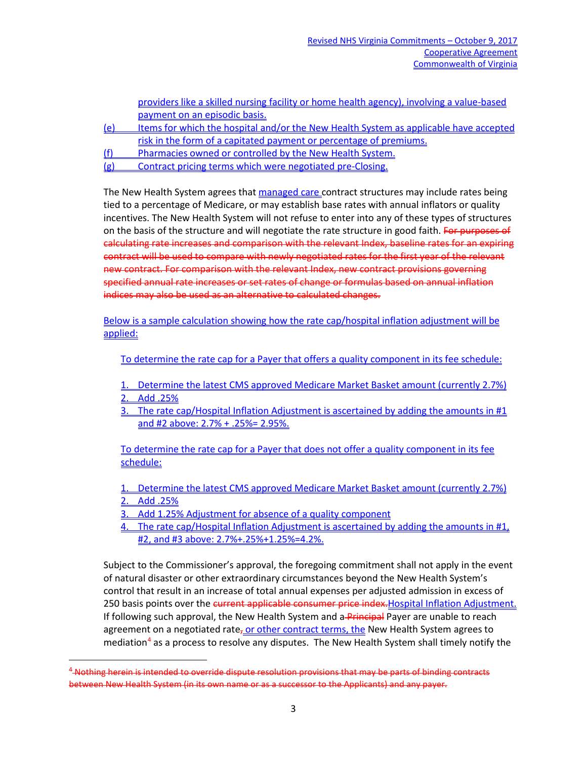|     | providers like a skilled nursing facility or home health agency), involving a value-based |
|-----|-------------------------------------------------------------------------------------------|
|     | payment on an episodic basis.                                                             |
| (e) | Items for which the hospital and/or the New Health System as applicable have accepted     |
|     | risk in the form of a capitated payment or percentage of premiums.                        |
| (f) | Pharmacies owned or controlled by the New Health System.                                  |
| (g) | Contract pricing terms which were negotiated pre-Closing.                                 |

The New Health System agrees that managed care contract structures may include rates being tied to a percentage of Medicare, or may establish base rates with annual inflators or quality incentives. The New Health System will not refuse to enter into any of these types of structures on the basis of the structure and will negotiate the rate structure in good faith. For purposes of calculating rate increases and comparison with the relevant Index, baseline rates for an expiring contract will be used to compare with newly negotiated rates for the first year of the relevant new contract. For comparison with the relevant Index, new contract provisions governing specified annual rate increases or set rates of change or formulas based on annual inflation indices may also be used as an alternative to calculated changes.

Below is a sample calculation showing how the rate cap/hospital inflation adjustment will be applied:

To determine the rate cap for a Payer that offers a quality component in its fee schedule:

- 1. Determine the latest CMS approved Medicare Market Basket amount (currently 2.7%)
- 2. Add .25%
- 3. The rate cap/Hospital Inflation Adjustment is ascertained by adding the amounts in  $#1$ and #2 above: 2.7% + .25%= 2.95%.

To determine the rate cap for a Payer that does not offer a quality component in its fee schedule:

- 1. Determine the latest CMS approved Medicare Market Basket amount (currently 2.7%) 2. Add .25%
- 3. Add 1.25% Adjustment for absence of a quality component
- 4. The rate cap/Hospital Inflation Adjustment is ascertained by adding the amounts in #1, #2, and #3 above: 2.7%+.25%+1.25%=4.2%.

Subject to the Commissioner's approval, the foregoing commitment shall not apply in the event of natural disaster or other extraordinary circumstances beyond the New Health System's control that result in an increase of total annual expenses per adjusted admission in excess of 250 basis points over the current applicable consumer price index. Hospital Inflation Adjustment. If following such approval, the New Health System and a-Principal Payer are unable to reach agreement on a negotiated rate, or other contract terms, the New Health System agrees to mediation<sup>[4](#page-2-0)</sup> as a process to resolve any disputes. The New Health System shall timely notify the

<span id="page-2-0"></span><sup>&</sup>lt;sup>4</sup> Nothing herein is intended to override dispute resolution provisions that may be parts of binding contracts between New Health System (in its own name or as a successor to the Applicants) and any payer.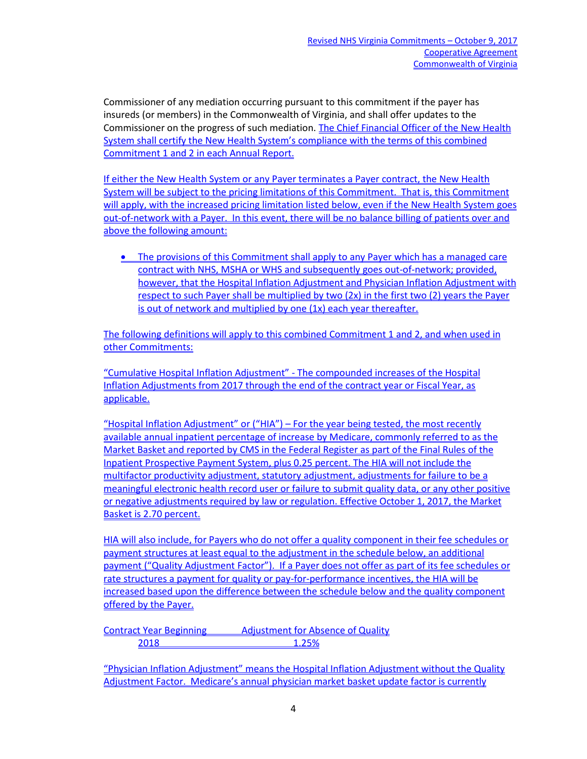Commissioner of any mediation occurring pursuant to this commitment if the payer has insureds (or members) in the Commonwealth of Virginia, and shall offer updates to the Commissioner on the progress of such mediation. The Chief Financial Officer of the New Health System shall certify the New Health System's compliance with the terms of this combined Commitment 1 and 2 in each Annual Report.

If either the New Health System or any Payer terminates a Payer contract, the New Health System will be subject to the pricing limitations of this Commitment. That is, this Commitment will apply, with the increased pricing limitation listed below, even if the New Health System goes out-of-network with a Payer. In this event, there will be no balance billing of patients over and above the following amount:

• The provisions of this Commitment shall apply to any Payer which has a managed care contract with NHS, MSHA or WHS and subsequently goes out-of-network; provided, however, that the Hospital Inflation Adjustment and Physician Inflation Adjustment with respect to such Payer shall be multiplied by two (2x) in the first two (2) years the Payer is out of network and multiplied by one (1x) each year thereafter.

The following definitions will apply to this combined Commitment 1 and 2, and when used in other Commitments:

"Cumulative Hospital Inflation Adjustment" - The compounded increases of the Hospital Inflation Adjustments from 2017 through the end of the contract year or Fiscal Year, as applicable.

"Hospital Inflation Adjustment" or ("HIA") – For the year being tested, the most recently available annual inpatient percentage of increase by Medicare, commonly referred to as the Market Basket and reported by CMS in the Federal Register as part of the Final Rules of the Inpatient Prospective Payment System, plus 0.25 percent. The HIA will not include the multifactor productivity adjustment, statutory adjustment, adjustments for failure to be a meaningful electronic health record user or failure to submit quality data, or any other positive or negative adjustments required by law or regulation. Effective October 1, 2017, the Market Basket is 2.70 percent.

HIA will also include, for Payers who do not offer a quality component in their fee schedules or payment structures at least equal to the adjustment in the schedule below, an additional payment ("Quality Adjustment Factor"). If a Payer does not offer as part of its fee schedules or rate structures a payment for quality or pay-for-performance incentives, the HIA will be increased based upon the difference between the schedule below and the quality component offered by the Payer.

Contract Year Beginning Adjustment for Absence of Quality 2018 1.25%

"Physician Inflation Adjustment" means the Hospital Inflation Adjustment without the Quality Adjustment Factor. Medicare's annual physician market basket update factor is currently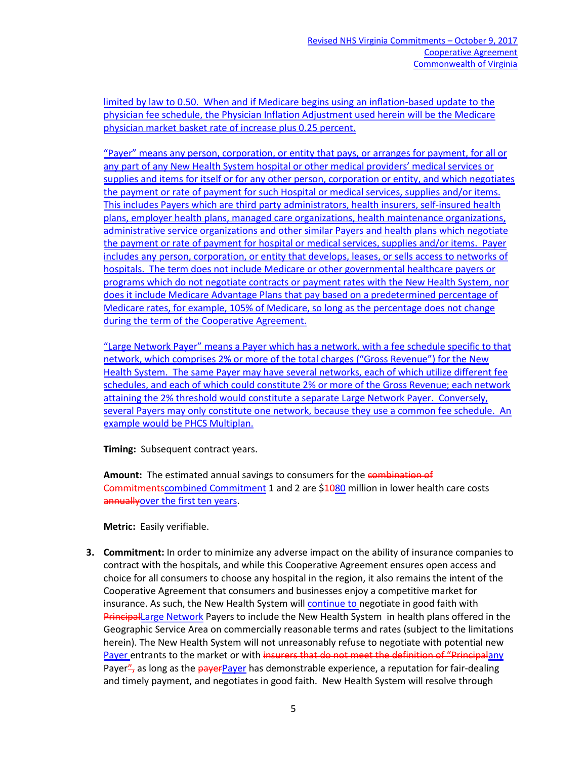limited by law to 0.50. When and if Medicare begins using an inflation-based update to the physician fee schedule, the Physician Inflation Adjustment used herein will be the Medicare physician market basket rate of increase plus 0.25 percent.

"Payer" means any person, corporation, or entity that pays, or arranges for payment, for all or any part of any New Health System hospital or other medical providers' medical services or supplies and items for itself or for any other person, corporation or entity, and which negotiates the payment or rate of payment for such Hospital or medical services, supplies and/or items. This includes Payers which are third party administrators, health insurers, self-insured health plans, employer health plans, managed care organizations, health maintenance organizations, administrative service organizations and other similar Payers and health plans which negotiate the payment or rate of payment for hospital or medical services, supplies and/or items. Payer includes any person, corporation, or entity that develops, leases, or sells access to networks of hospitals. The term does not include Medicare or other governmental healthcare payers or programs which do not negotiate contracts or payment rates with the New Health System, nor does it include Medicare Advantage Plans that pay based on a predetermined percentage of Medicare rates, for example, 105% of Medicare, so long as the percentage does not change during the term of the Cooperative Agreement.

"Large Network Payer" means a Payer which has a network, with a fee schedule specific to that network, which comprises 2% or more of the total charges ("Gross Revenue") for the New Health System. The same Payer may have several networks, each of which utilize different fee schedules, and each of which could constitute 2% or more of the Gross Revenue; each network attaining the 2% threshold would constitute a separate Large Network Payer. Conversely, several Payers may only constitute one network, because they use a common fee schedule. An example would be PHCS Multiplan.

**Timing:** Subsequent contract years.

**Amount:** The estimated annual savings to consumers for the combination of **Commitmentscombined Commitment 1 and 2 are \$1080 million in lower health care costs** annually over the first ten years.

**Metric:** Easily verifiable.

**3. Commitment:** In order to minimize any adverse impact on the ability of insurance companies to contract with the hospitals, and while this Cooperative Agreement ensures open access and choice for all consumers to choose any hospital in the region, it also remains the intent of the Cooperative Agreement that consumers and businesses enjoy a competitive market for insurance. As such, the New Health System will continue to negotiate in good faith with **PrincipalLarge Network** Payers to include the New Health System in health plans offered in the Geographic Service Area on commercially reasonable terms and rates (subject to the limitations herein). The New Health System will not unreasonably refuse to negotiate with potential new Payer entrants to the market or with insurers that do not meet the definition of "Principalany Payer", as long as the payerPayer has demonstrable experience, a reputation for fair-dealing and timely payment, and negotiates in good faith. New Health System will resolve through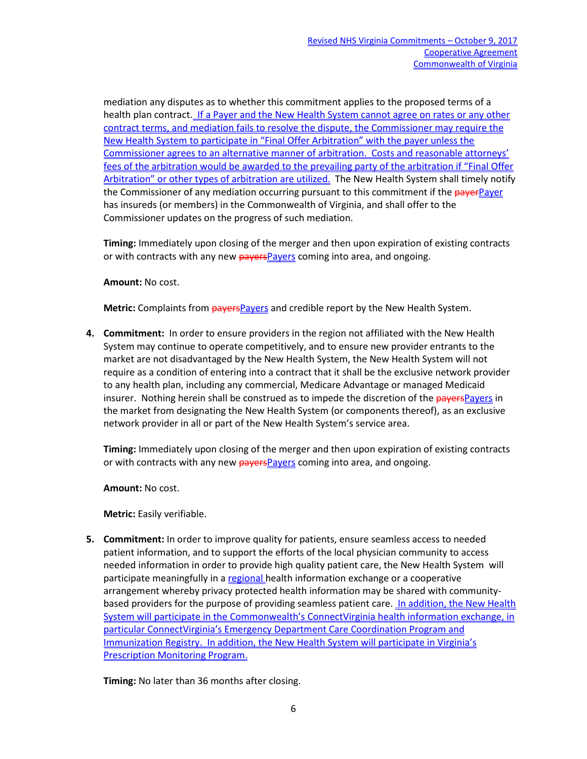mediation any disputes as to whether this commitment applies to the proposed terms of a health plan contract. If a Payer and the New Health System cannot agree on rates or any other contract terms, and mediation fails to resolve the dispute, the Commissioner may require the New Health System to participate in "Final Offer Arbitration" with the payer unless the Commissioner agrees to an alternative manner of arbitration. Costs and reasonable attorneys' fees of the arbitration would be awarded to the prevailing party of the arbitration if "Final Offer Arbitration" or other types of arbitration are utilized. The New Health System shall timely notify the Commissioner of any mediation occurring pursuant to this commitment if the payerPayer has insureds (or members) in the Commonwealth of Virginia, and shall offer to the Commissioner updates on the progress of such mediation.

**Timing:** Immediately upon closing of the merger and then upon expiration of existing contracts or with contracts with any new payersPayers coming into area, and ongoing.

## **Amount:** No cost.

**Metric:** Complaints from **payers** Payers and credible report by the New Health System.

**4. Commitment:** In order to ensure providers in the region not affiliated with the New Health System may continue to operate competitively, and to ensure new provider entrants to the market are not disadvantaged by the New Health System, the New Health System will not require as a condition of entering into a contract that it shall be the exclusive network provider to any health plan, including any commercial, Medicare Advantage or managed Medicaid insurer. Nothing herein shall be construed as to impede the discretion of the payersPayers in the market from designating the New Health System (or components thereof), as an exclusive network provider in all or part of the New Health System's service area.

**Timing:** Immediately upon closing of the merger and then upon expiration of existing contracts or with contracts with any new **payers** Payers coming into area, and ongoing.

**Amount:** No cost.

**Metric:** Easily verifiable.

**5. Commitment:** In order to improve quality for patients, ensure seamless access to needed patient information, and to support the efforts of the local physician community to access needed information in order to provide high quality patient care, the New Health System will participate meaningfully in a regional health information exchange or a cooperative arrangement whereby privacy protected health information may be shared with communitybased providers for the purpose of providing seamless patient care. In addition, the New Health System will participate in the Commonwealth's ConnectVirginia health information exchange, in particular ConnectVirginia's Emergency Department Care Coordination Program and Immunization Registry. In addition, the New Health System will participate in Virginia's Prescription Monitoring Program.

**Timing:** No later than 36 months after closing.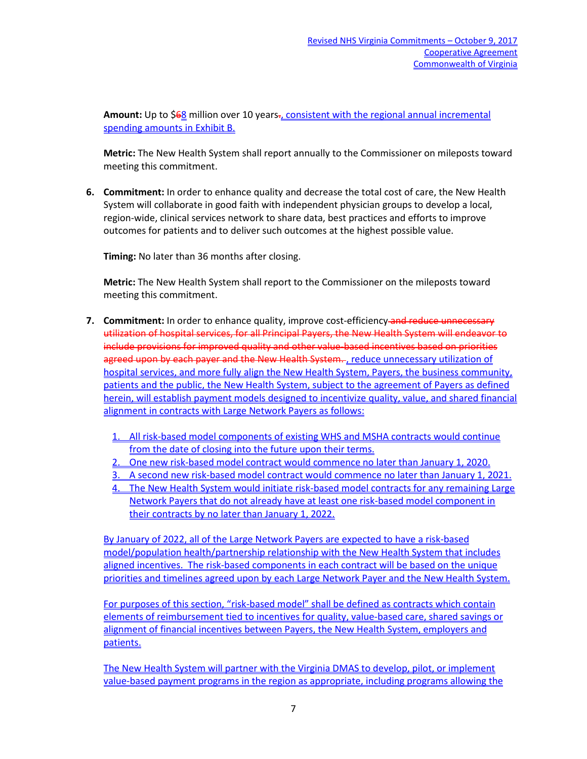Amount: Up to \$68 million over 10 years-, consistent with the regional annual incremental spending amounts in Exhibit B.

**Metric:** The New Health System shall report annually to the Commissioner on mileposts toward meeting this commitment.

**6. Commitment:** In order to enhance quality and decrease the total cost of care, the New Health System will collaborate in good faith with independent physician groups to develop a local, region-wide, clinical services network to share data, best practices and efforts to improve outcomes for patients and to deliver such outcomes at the highest possible value.

**Timing:** No later than 36 months after closing.

**Metric:** The New Health System shall report to the Commissioner on the mileposts toward meeting this commitment.

- **7. Commitment:** In order to enhance quality, improve cost-efficiency-and reduce unnecessary utilization of hospital services, for all Principal Payers, the New Health System will endeavor to include provisions for improved quality and other value-based incentives based on priorities agreed upon by each payer and the New Health System..., reduce unnecessary utilization of hospital services, and more fully align the New Health System, Payers, the business community, patients and the public, the New Health System, subject to the agreement of Payers as defined herein, will establish payment models designed to incentivize quality, value, and shared financial alignment in contracts with Large Network Payers as follows:
	- 1. All risk-based model components of existing WHS and MSHA contracts would continue from the date of closing into the future upon their terms.
	- 2. One new risk-based model contract would commence no later than January 1, 2020.
	- 3. A second new risk-based model contract would commence no later than January 1, 2021.
	- 4. The New Health System would initiate risk-based model contracts for any remaining Large Network Payers that do not already have at least one risk-based model component in their contracts by no later than January 1, 2022.

By January of 2022, all of the Large Network Payers are expected to have a risk-based model/population health/partnership relationship with the New Health System that includes aligned incentives. The risk-based components in each contract will be based on the unique priorities and timelines agreed upon by each Large Network Payer and the New Health System.

For purposes of this section, "risk-based model" shall be defined as contracts which contain elements of reimbursement tied to incentives for quality, value-based care, shared savings or alignment of financial incentives between Payers, the New Health System, employers and patients.

The New Health System will partner with the Virginia DMAS to develop, pilot, or implement value-based payment programs in the region as appropriate, including programs allowing the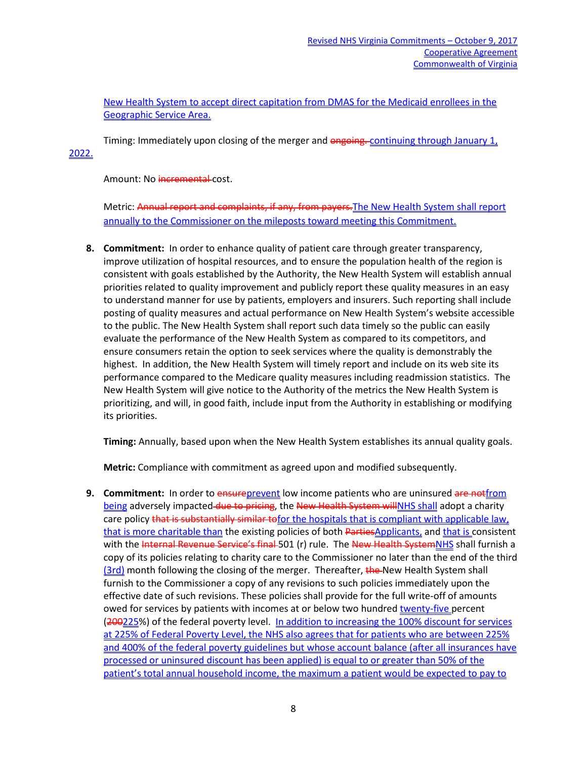New Health System to accept direct capitation from DMAS for the Medicaid enrollees in the Geographic Service Area.

Timing: Immediately upon closing of the merger and ongoing. continuing through January 1, 2022.

Amount: No incremental cost.

Metric: Annual report and complaints, if any, from payers.The New Health System shall report annually to the Commissioner on the mileposts toward meeting this Commitment.

**8. Commitment:** In order to enhance quality of patient care through greater transparency, improve utilization of hospital resources, and to ensure the population health of the region is consistent with goals established by the Authority, the New Health System will establish annual priorities related to quality improvement and publicly report these quality measures in an easy to understand manner for use by patients, employers and insurers. Such reporting shall include posting of quality measures and actual performance on New Health System's website accessible to the public. The New Health System shall report such data timely so the public can easily evaluate the performance of the New Health System as compared to its competitors, and ensure consumers retain the option to seek services where the quality is demonstrably the highest. In addition, the New Health System will timely report and include on its web site its performance compared to the Medicare quality measures including readmission statistics. The New Health System will give notice to the Authority of the metrics the New Health System is prioritizing, and will, in good faith, include input from the Authority in establishing or modifying its priorities.

**Timing:** Annually, based upon when the New Health System establishes its annual quality goals.

**Metric:** Compliance with commitment as agreed upon and modified subsequently.

**9. Commitment:** In order to ensureprevent low income patients who are uninsured are not from being adversely impacted-due to pricing, the New Health System willNHS shall adopt a charity care policy that is substantially similar to for the hospitals that is compliant with applicable law, that is more charitable than the existing policies of both PartiesApplicants, and that is consistent with the Internal Revenue Service's final 501 (r) rule. The New Health SystemNHS shall furnish a copy of its policies relating to charity care to the Commissioner no later than the end of the third (3rd) month following the closing of the merger. Thereafter, the New Health System shall furnish to the Commissioner a copy of any revisions to such policies immediately upon the effective date of such revisions. These policies shall provide for the full write-off of amounts owed for services by patients with incomes at or below two hundred twenty-five percent (200225%) of the federal poverty level. In addition to increasing the 100% discount for services at 225% of Federal Poverty Level, the NHS also agrees that for patients who are between 225% and 400% of the federal poverty guidelines but whose account balance (after all insurances have processed or uninsured discount has been applied) is equal to or greater than 50% of the patient's total annual household income, the maximum a patient would be expected to pay to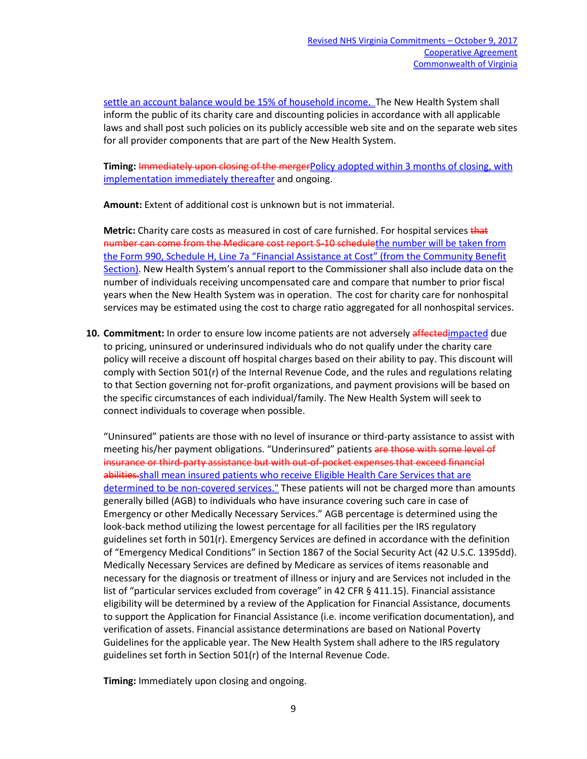settle an account balance would be 15% of household income. The New Health System shall inform the public of its charity care and discounting policies in accordance with all applicable laws and shall post such policies on its publicly accessible web site and on the separate web sites for all provider components that are part of the New Health System.

**Timing:** Immediately upon closing of the mergerPolicy adopted within 3 months of closing, with implementation immediately thereafter and ongoing.

**Amount:** Extent of additional cost is unknown but is not immaterial.

**Metric:** Charity care costs as measured in cost of care furnished. For hospital services that number can come from the Medicare cost report S-10 schedulethe number will be taken from the Form 990, Schedule H, Line 7a "Financial Assistance at Cost" (from the Community Benefit Section). New Health System's annual report to the Commissioner shall also include data on the number of individuals receiving uncompensated care and compare that number to prior fiscal years when the New Health System was in operation. The cost for charity care for nonhospital services may be estimated using the cost to charge ratio aggregated for all nonhospital services.

**10. Commitment:** In order to ensure low income patients are not adversely affectedimpacted due to pricing, uninsured or underinsured individuals who do not qualify under the charity care policy will receive a discount off hospital charges based on their ability to pay. This discount will comply with Section 501(r) of the Internal Revenue Code, and the rules and regulations relating to that Section governing not for-profit organizations, and payment provisions will be based on the specific circumstances of each individual/family. The New Health System will seek to connect individuals to coverage when possible.

"Uninsured" patients are those with no level of insurance or third-party assistance to assist with meeting his/her payment obligations. "Underinsured" patients are those with some level of insurance or third-party assistance but with out-of-pocket expenses that exceed financial abilities.shall mean insured patients who receive Eligible Health Care Services that are determined to be non-covered services." These patients will not be charged more than amounts generally billed (AGB) to individuals who have insurance covering such care in case of Emergency or other Medically Necessary Services." AGB percentage is determined using the look-back method utilizing the lowest percentage for all facilities per the IRS regulatory guidelines set forth in 501(r). Emergency Services are defined in accordance with the definition of "Emergency Medical Conditions" in Section 1867 of the Social Security Act (42 U.S.C. 1395dd). Medically Necessary Services are defined by Medicare as services of items reasonable and necessary for the diagnosis or treatment of illness or injury and are Services not included in the list of "particular services excluded from coverage" in 42 CFR § 411.15). Financial assistance eligibility will be determined by a review of the Application for Financial Assistance, documents to support the Application for Financial Assistance (i.e. income verification documentation), and verification of assets. Financial assistance determinations are based on National Poverty Guidelines for the applicable year. The New Health System shall adhere to the IRS regulatory guidelines set forth in Section 501(r) of the Internal Revenue Code.

**Timing:** Immediately upon closing and ongoing.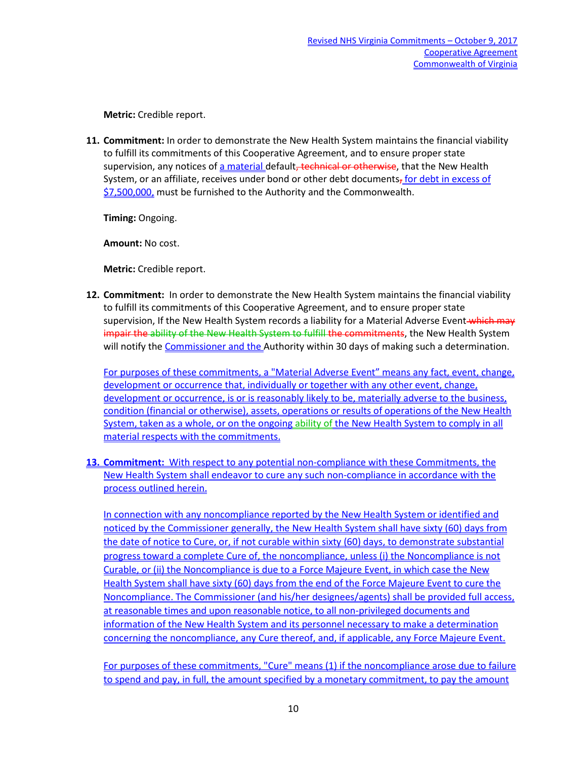**Metric:** Credible report.

**11. Commitment:** In order to demonstrate the New Health System maintains the financial viability to fulfill its commitments of this Cooperative Agreement, and to ensure proper state supervision, any notices of a material default, technical or otherwise, that the New Health System, or an affiliate, receives under bond or other debt documents, for debt in excess of \$7,500,000, must be furnished to the Authority and the Commonwealth.

**Timing:** Ongoing.

**Amount:** No cost.

**Metric:** Credible report.

**12. Commitment:** In order to demonstrate the New Health System maintains the financial viability to fulfill its commitments of this Cooperative Agreement, and to ensure proper state supervision, If the New Health System records a liability for a Material Adverse Event which may impair the ability of the New Health System to fulfill the commitments, the New Health System will notify the Commissioner and the Authority within 30 days of making such a determination.

For purposes of these commitments, a "Material Adverse Event" means any fact, event, change, development or occurrence that, individually or together with any other event, change, development or occurrence, is or is reasonably likely to be, materially adverse to the business, condition (financial or otherwise), assets, operations or results of operations of the New Health System, taken as a whole, or on the ongoing ability of the New Health System to comply in all material respects with the commitments.

**13. Commitment:** With respect to any potential non-compliance with these Commitments, the New Health System shall endeavor to cure any such non-compliance in accordance with the process outlined herein.

In connection with any noncompliance reported by the New Health System or identified and noticed by the Commissioner generally, the New Health System shall have sixty (60) days from the date of notice to Cure, or, if not curable within sixty (60) days, to demonstrate substantial progress toward a complete Cure of, the noncompliance, unless (i) the Noncompliance is not Curable, or (ii) the Noncompliance is due to a Force Majeure Event, in which case the New Health System shall have sixty (60) days from the end of the Force Majeure Event to cure the Noncompliance. The Commissioner (and his/her designees/agents) shall be provided full access, at reasonable times and upon reasonable notice, to all non-privileged documents and information of the New Health System and its personnel necessary to make a determination concerning the noncompliance, any Cure thereof, and, if applicable, any Force Majeure Event.

For purposes of these commitments, "Cure" means (1) if the noncompliance arose due to failure to spend and pay, in full, the amount specified by a monetary commitment, to pay the amount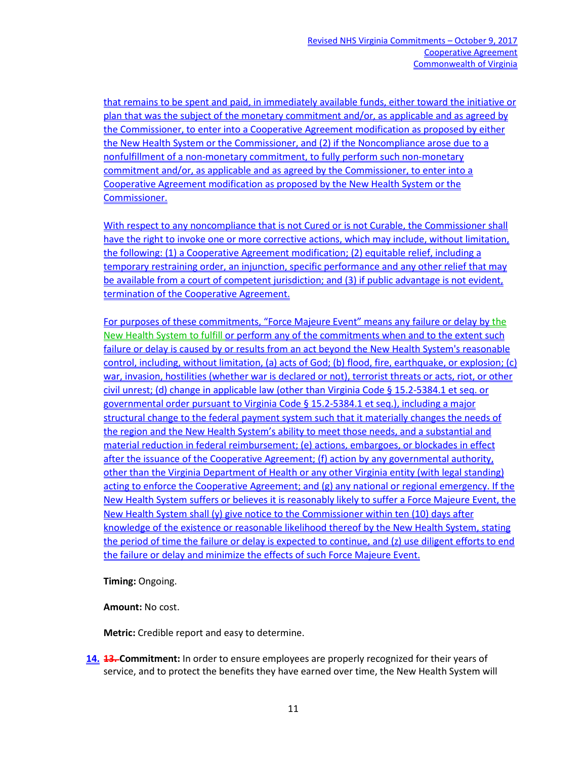that remains to be spent and paid, in immediately available funds, either toward the initiative or plan that was the subject of the monetary commitment and/or, as applicable and as agreed by the Commissioner, to enter into a Cooperative Agreement modification as proposed by either the New Health System or the Commissioner, and (2) if the Noncompliance arose due to a nonfulfillment of a non-monetary commitment, to fully perform such non-monetary commitment and/or, as applicable and as agreed by the Commissioner, to enter into a Cooperative Agreement modification as proposed by the New Health System or the Commissioner.

With respect to any noncompliance that is not Cured or is not Curable, the Commissioner shall have the right to invoke one or more corrective actions, which may include, without limitation, the following: (1) a Cooperative Agreement modification; (2) equitable relief, including a temporary restraining order, an injunction, specific performance and any other relief that may be available from a court of competent jurisdiction; and (3) if public advantage is not evident, termination of the Cooperative Agreement.

For purposes of these commitments, "Force Majeure Event" means any failure or delay by the New Health System to fulfill or perform any of the commitments when and to the extent such failure or delay is caused by or results from an act beyond the New Health System's reasonable control, including, without limitation, (a) acts of God; (b) flood, fire, earthquake, or explosion; (c) war, invasion, hostilities (whether war is declared or not), terrorist threats or acts, riot, or other civil unrest; (d) change in applicable law (other than Virginia Code § 15.2-5384.1 et seq. or governmental order pursuant to Virginia Code § 15.2-5384.1 et seq.), including a major structural change to the federal payment system such that it materially changes the needs of the region and the New Health System's ability to meet those needs, and a substantial and material reduction in federal reimbursement; (e) actions, embargoes, or blockades in effect after the issuance of the Cooperative Agreement; (f) action by any governmental authority, other than the Virginia Department of Health or any other Virginia entity (with legal standing) acting to enforce the Cooperative Agreement; and (g) any national or regional emergency. If the New Health System suffers or believes it is reasonably likely to suffer a Force Majeure Event, the New Health System shall (y) give notice to the Commissioner within ten (10) days after knowledge of the existence or reasonable likelihood thereof by the New Health System, stating the period of time the failure or delay is expected to continue, and (z) use diligent efforts to end the failure or delay and minimize the effects of such Force Majeure Event.

**Timing:** Ongoing.

**Amount:** No cost.

**Metric:** Credible report and easy to determine.

**14. 13. Commitment:** In order to ensure employees are properly recognized for their years of service, and to protect the benefits they have earned over time, the New Health System will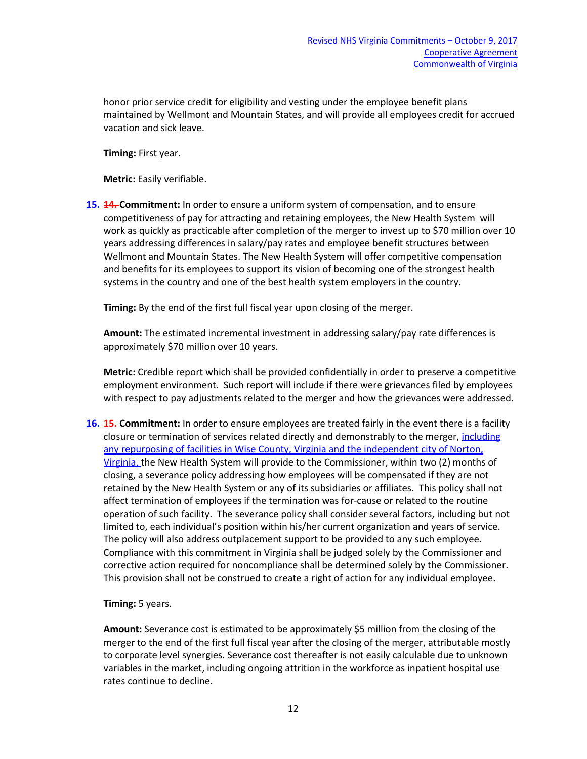honor prior service credit for eligibility and vesting under the employee benefit plans maintained by Wellmont and Mountain States, and will provide all employees credit for accrued vacation and sick leave.

**Timing:** First year.

**Metric:** Easily verifiable.

**15. 14. Commitment:** In order to ensure a uniform system of compensation, and to ensure competitiveness of pay for attracting and retaining employees, the New Health System will work as quickly as practicable after completion of the merger to invest up to \$70 million over 10 years addressing differences in salary/pay rates and employee benefit structures between Wellmont and Mountain States. The New Health System will offer competitive compensation and benefits for its employees to support its vision of becoming one of the strongest health systems in the country and one of the best health system employers in the country.

**Timing:** By the end of the first full fiscal year upon closing of the merger.

**Amount:** The estimated incremental investment in addressing salary/pay rate differences is approximately \$70 million over 10 years.

**Metric:** Credible report which shall be provided confidentially in order to preserve a competitive employment environment. Such report will include if there were grievances filed by employees with respect to pay adjustments related to the merger and how the grievances were addressed.

**16. 15. Commitment:** In order to ensure employees are treated fairly in the event there is a facility closure or termination of services related directly and demonstrably to the merger, including any repurposing of facilities in Wise County, Virginia and the independent city of Norton, Virginia, the New Health System will provide to the Commissioner, within two (2) months of closing, a severance policy addressing how employees will be compensated if they are not retained by the New Health System or any of its subsidiaries or affiliates. This policy shall not affect termination of employees if the termination was for-cause or related to the routine operation of such facility. The severance policy shall consider several factors, including but not limited to, each individual's position within his/her current organization and years of service. The policy will also address outplacement support to be provided to any such employee. Compliance with this commitment in Virginia shall be judged solely by the Commissioner and corrective action required for noncompliance shall be determined solely by the Commissioner. This provision shall not be construed to create a right of action for any individual employee.

**Timing:** 5 years.

**Amount:** Severance cost is estimated to be approximately \$5 million from the closing of the merger to the end of the first full fiscal year after the closing of the merger, attributable mostly to corporate level synergies. Severance cost thereafter is not easily calculable due to unknown variables in the market, including ongoing attrition in the workforce as inpatient hospital use rates continue to decline.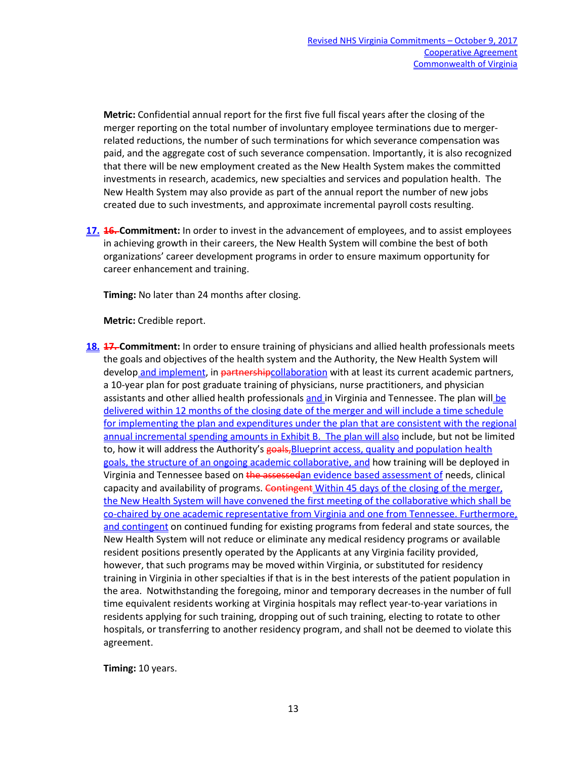**Metric:** Confidential annual report for the first five full fiscal years after the closing of the merger reporting on the total number of involuntary employee terminations due to mergerrelated reductions, the number of such terminations for which severance compensation was paid, and the aggregate cost of such severance compensation. Importantly, it is also recognized that there will be new employment created as the New Health System makes the committed investments in research, academics, new specialties and services and population health. The New Health System may also provide as part of the annual report the number of new jobs created due to such investments, and approximate incremental payroll costs resulting.

**17. 16. Commitment:** In order to invest in the advancement of employees, and to assist employees in achieving growth in their careers, the New Health System will combine the best of both organizations' career development programs in order to ensure maximum opportunity for career enhancement and training.

**Timing:** No later than 24 months after closing.

**Metric:** Credible report.

**18. 17. Commitment:** In order to ensure training of physicians and allied health professionals meets the goals and objectives of the health system and the Authority, the New Health System will develop and implement, in partnershipcollaboration with at least its current academic partners, a 10-year plan for post graduate training of physicians, nurse practitioners, and physician assistants and other allied health professionals and in Virginia and Tennessee. The plan will be delivered within 12 months of the closing date of the merger and will include a time schedule for implementing the plan and expenditures under the plan that are consistent with the regional annual incremental spending amounts in Exhibit B. The plan will also include, but not be limited to, how it will address the Authority's goals, Blueprint access, quality and population health goals, the structure of an ongoing academic collaborative, and how training will be deployed in Virginia and Tennessee based on the assessedan evidence based assessment of needs, clinical capacity and availability of programs. Contingent Within 45 days of the closing of the merger, the New Health System will have convened the first meeting of the collaborative which shall be co-chaired by one academic representative from Virginia and one from Tennessee. Furthermore, and contingent on continued funding for existing programs from federal and state sources, the New Health System will not reduce or eliminate any medical residency programs or available resident positions presently operated by the Applicants at any Virginia facility provided, however, that such programs may be moved within Virginia, or substituted for residency training in Virginia in other specialties if that is in the best interests of the patient population in the area. Notwithstanding the foregoing, minor and temporary decreases in the number of full time equivalent residents working at Virginia hospitals may reflect year-to-year variations in residents applying for such training, dropping out of such training, electing to rotate to other hospitals, or transferring to another residency program, and shall not be deemed to violate this agreement.

**Timing:** 10 years.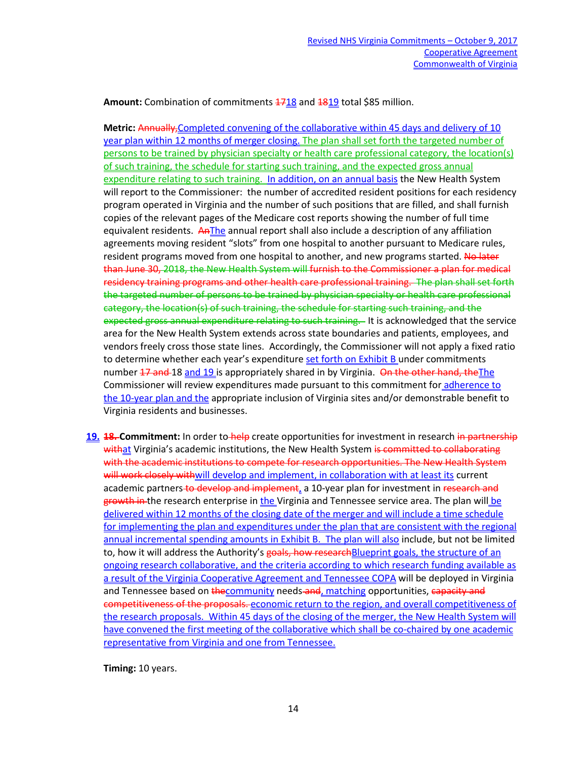Amount: Combination of commitments  $1718$  and  $1819$  total \$85 million.

**Metric:** Annually,Completed convening of the collaborative within 45 days and delivery of 10 year plan within 12 months of merger closing. The plan shall set forth the targeted number of persons to be trained by physician specialty or health care professional category, the location(s) of such training, the schedule for starting such training, and the expected gross annual expenditure relating to such training. In addition, on an annual basis the New Health System will report to the Commissioner: the number of accredited resident positions for each residency program operated in Virginia and the number of such positions that are filled, and shall furnish copies of the relevant pages of the Medicare cost reports showing the number of full time equivalent residents. AnThe annual report shall also include a description of any affiliation agreements moving resident "slots" from one hospital to another pursuant to Medicare rules, resident programs moved from one hospital to another, and new programs started. No later than June 30, 2018, the New Health System will furnish to the Commissioner a plan for medical residency training programs and other health care professional training. The plan shall set forth the targeted number of persons to be trained by physician specialty or health care professional category, the location(s) of such training, the schedule for starting such training, and the expected gross annual expenditure relating to such training. It is acknowledged that the service area for the New Health System extends across state boundaries and patients, employees, and vendors freely cross those state lines. Accordingly, the Commissioner will not apply a fixed ratio to determine whether each year's expenditure set forth on Exhibit B under commitments number 17 and 18 and 19 is appropriately shared in by Virginia. On the other hand, the The Commissioner will review expenditures made pursuant to this commitment for adherence to the 10-year plan and the appropriate inclusion of Virginia sites and/or demonstrable benefit to Virginia residents and businesses.

19. **18. Commitment:** In order to help create opportunities for investment in research in partnership withat Virginia's academic institutions, the New Health System is committed to collaborating with the academic institutions to compete for research opportunities. The New Health System will work closely withwill develop and implement, in collaboration with at least its current academic partners to develop and implement, a 10-year plan for investment in research and growth in the research enterprise in the Virginia and Tennessee service area. The plan will be delivered within 12 months of the closing date of the merger and will include a time schedule for implementing the plan and expenditures under the plan that are consistent with the regional annual incremental spending amounts in Exhibit B. The plan will also include, but not be limited to, how it will address the Authority's goals, how research Blueprint goals, the structure of an ongoing research collaborative, and the criteria according to which research funding available as a result of the Virginia Cooperative Agreement and Tennessee COPA will be deployed in Virginia and Tennessee based on thecommunity needs-and, matching opportunities, capacity and competitiveness of the proposals. economic return to the region, and overall competitiveness of the research proposals. Within 45 days of the closing of the merger, the New Health System will have convened the first meeting of the collaborative which shall be co-chaired by one academic representative from Virginia and one from Tennessee.

**Timing:** 10 years.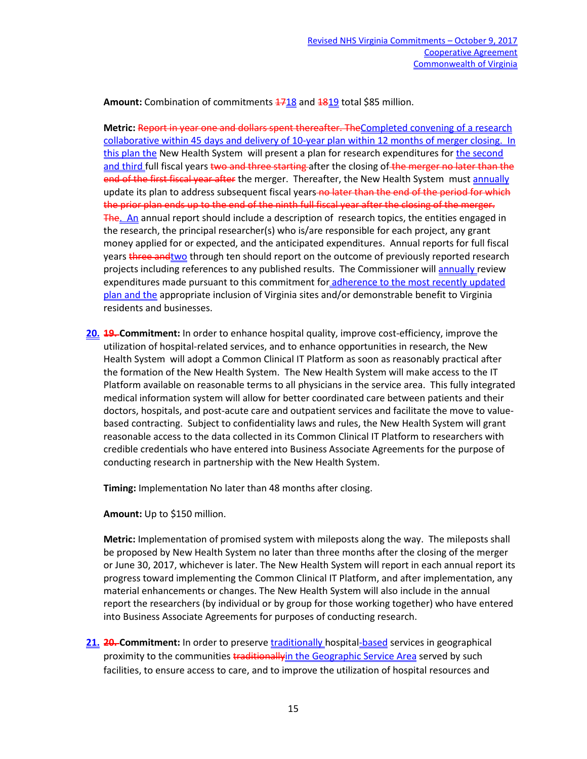Amount: Combination of commitments  $\frac{4718}{2}$  and  $\frac{4819}{2}$  total \$85 million.

**Metric:** Report in year one and dollars spent thereafter. TheCompleted convening of a research collaborative within 45 days and delivery of 10-year plan within 12 months of merger closing. In this plan the New Health System will present a plan for research expenditures for the second and third full fiscal years two and three starting after the closing of the merger no later than the end of the first fiscal year after the merger. Thereafter, the New Health System must annually update its plan to address subsequent fiscal years no later than the end of the period for which the prior plan ends up to the end of the ninth full fiscal year after the closing of the merger. The. An annual report should include a description of research topics, the entities engaged in the research, the principal researcher(s) who is/are responsible for each project, any grant money applied for or expected, and the anticipated expenditures. Annual reports for full fiscal years three and two through ten should report on the outcome of previously reported research projects including references to any published results. The Commissioner will annually review expenditures made pursuant to this commitment for adherence to the most recently updated plan and the appropriate inclusion of Virginia sites and/or demonstrable benefit to Virginia residents and businesses.

**20. 19. Commitment:** In order to enhance hospital quality, improve cost-efficiency, improve the utilization of hospital-related services, and to enhance opportunities in research, the New Health System will adopt a Common Clinical IT Platform as soon as reasonably practical after the formation of the New Health System. The New Health System will make access to the IT Platform available on reasonable terms to all physicians in the service area. This fully integrated medical information system will allow for better coordinated care between patients and their doctors, hospitals, and post-acute care and outpatient services and facilitate the move to valuebased contracting. Subject to confidentiality laws and rules, the New Health System will grant reasonable access to the data collected in its Common Clinical IT Platform to researchers with credible credentials who have entered into Business Associate Agreements for the purpose of conducting research in partnership with the New Health System.

**Timing:** Implementation No later than 48 months after closing.

**Amount:** Up to \$150 million.

**Metric:** Implementation of promised system with mileposts along the way. The mileposts shall be proposed by New Health System no later than three months after the closing of the merger or June 30, 2017, whichever is later. The New Health System will report in each annual report its progress toward implementing the Common Clinical IT Platform, and after implementation, any material enhancements or changes. The New Health System will also include in the annual report the researchers (by individual or by group for those working together) who have entered into Business Associate Agreements for purposes of conducting research.

21. 20. Commitment: In order to preserve **traditionally** hospital-based services in geographical proximity to the communities traditionallyin the Geographic Service Area served by such facilities, to ensure access to care, and to improve the utilization of hospital resources and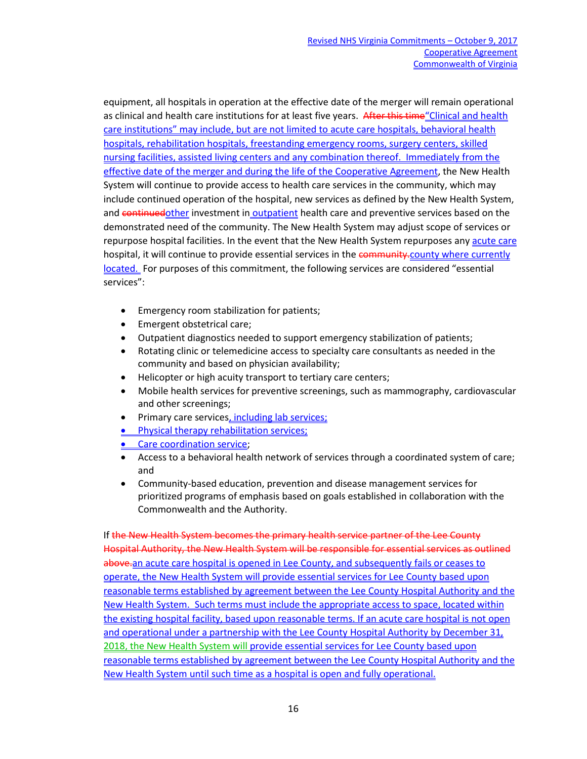equipment, all hospitals in operation at the effective date of the merger will remain operational as clinical and health care institutions for at least five years. After this time "Clinical and health care institutions" may include, but are not limited to acute care hospitals, behavioral health hospitals, rehabilitation hospitals, freestanding emergency rooms, surgery centers, skilled nursing facilities, assisted living centers and any combination thereof. Immediately from the effective date of the merger and during the life of the Cooperative Agreement, the New Health System will continue to provide access to health care services in the community, which may include continued operation of the hospital, new services as defined by the New Health System, and continuedother investment in outpatient health care and preventive services based on the demonstrated need of the community. The New Health System may adjust scope of services or repurpose hospital facilities. In the event that the New Health System repurposes any acute care hospital, it will continue to provide essential services in the community-county where currently located. For purposes of this commitment, the following services are considered "essential services":

- Emergency room stabilization for patients;
- Emergent obstetrical care;
- Outpatient diagnostics needed to support emergency stabilization of patients;
- Rotating clinic or telemedicine access to specialty care consultants as needed in the community and based on physician availability;
- Helicopter or high acuity transport to tertiary care centers;
- Mobile health services for preventive screenings, such as mammography, cardiovascular and other screenings;
- Primary care services, including lab services;
- **Physical therapy rehabilitation services;**
- Care coordination service:
- Access to a behavioral health network of services through a coordinated system of care; and
- Community-based education, prevention and disease management services for prioritized programs of emphasis based on goals established in collaboration with the Commonwealth and the Authority.

If the New Health System becomes the primary health service partner of the Lee County Hospital Authority, the New Health System will be responsible for essential services as outlined above.an acute care hospital is opened in Lee County, and subsequently fails or ceases to operate, the New Health System will provide essential services for Lee County based upon reasonable terms established by agreement between the Lee County Hospital Authority and the New Health System. Such terms must include the appropriate access to space, located within the existing hospital facility, based upon reasonable terms. If an acute care hospital is not open and operational under a partnership with the Lee County Hospital Authority by December 31, 2018, the New Health System will provide essential services for Lee County based upon reasonable terms established by agreement between the Lee County Hospital Authority and the New Health System until such time as a hospital is open and fully operational.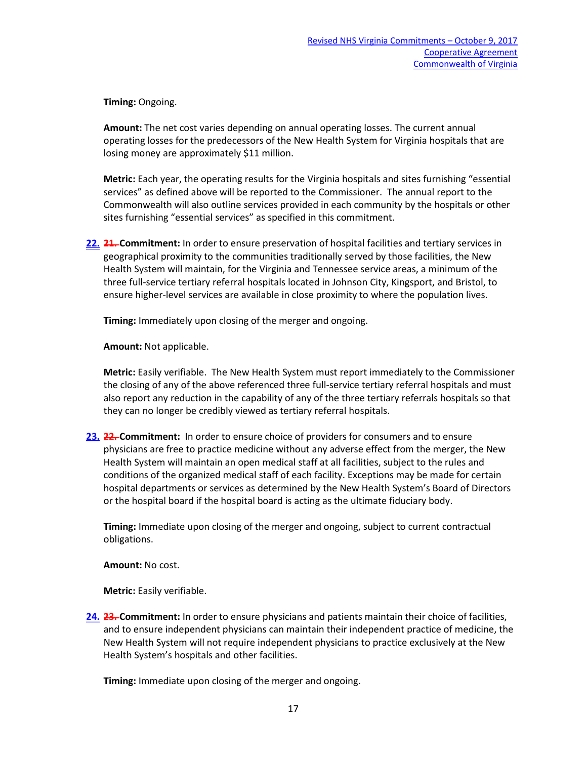**Timing:** Ongoing.

**Amount:** The net cost varies depending on annual operating losses. The current annual operating losses for the predecessors of the New Health System for Virginia hospitals that are losing money are approximately \$11 million.

**Metric:** Each year, the operating results for the Virginia hospitals and sites furnishing "essential services" as defined above will be reported to the Commissioner. The annual report to the Commonwealth will also outline services provided in each community by the hospitals or other sites furnishing "essential services" as specified in this commitment.

**22. 21. Commitment:** In order to ensure preservation of hospital facilities and tertiary services in geographical proximity to the communities traditionally served by those facilities, the New Health System will maintain, for the Virginia and Tennessee service areas, a minimum of the three full-service tertiary referral hospitals located in Johnson City, Kingsport, and Bristol, to ensure higher-level services are available in close proximity to where the population lives.

**Timing:** Immediately upon closing of the merger and ongoing.

**Amount:** Not applicable.

**Metric:** Easily verifiable. The New Health System must report immediately to the Commissioner the closing of any of the above referenced three full-service tertiary referral hospitals and must also report any reduction in the capability of any of the three tertiary referrals hospitals so that they can no longer be credibly viewed as tertiary referral hospitals.

**23. 22. Commitment:** In order to ensure choice of providers for consumers and to ensure physicians are free to practice medicine without any adverse effect from the merger, the New Health System will maintain an open medical staff at all facilities, subject to the rules and conditions of the organized medical staff of each facility. Exceptions may be made for certain hospital departments or services as determined by the New Health System's Board of Directors or the hospital board if the hospital board is acting as the ultimate fiduciary body.

**Timing:** Immediate upon closing of the merger and ongoing, subject to current contractual obligations.

**Amount:** No cost.

**Metric:** Easily verifiable.

**24. 23. Commitment:** In order to ensure physicians and patients maintain their choice of facilities, and to ensure independent physicians can maintain their independent practice of medicine, the New Health System will not require independent physicians to practice exclusively at the New Health System's hospitals and other facilities.

**Timing:** Immediate upon closing of the merger and ongoing.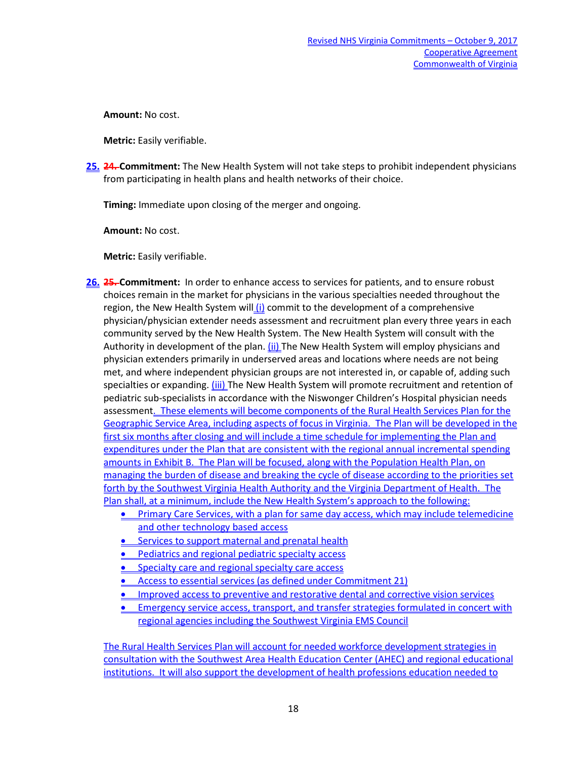**Amount:** No cost.

**Metric:** Easily verifiable.

**25. 24. Commitment:** The New Health System will not take steps to prohibit independent physicians from participating in health plans and health networks of their choice.

**Timing:** Immediate upon closing of the merger and ongoing.

**Amount:** No cost.

**Metric:** Easily verifiable.

- **26. 25. Commitment:** In order to enhance access to services for patients, and to ensure robust choices remain in the market for physicians in the various specialties needed throughout the region, the New Health System will  $(i)$  commit to the development of a comprehensive physician/physician extender needs assessment and recruitment plan every three years in each community served by the New Health System. The New Health System will consult with the Authority in development of the plan. (ii) The New Health System will employ physicians and physician extenders primarily in underserved areas and locations where needs are not being met, and where independent physician groups are not interested in, or capable of, adding such specialties or expanding. (iii) The New Health System will promote recruitment and retention of pediatric sub-specialists in accordance with the Niswonger Children's Hospital physician needs assessment. These elements will become components of the Rural Health Services Plan for the Geographic Service Area, including aspects of focus in Virginia. The Plan will be developed in the first six months after closing and will include a time schedule for implementing the Plan and expenditures under the Plan that are consistent with the regional annual incremental spending amounts in Exhibit B. The Plan will be focused, along with the Population Health Plan, on managing the burden of disease and breaking the cycle of disease according to the priorities set forth by the Southwest Virginia Health Authority and the Virginia Department of Health. The Plan shall, at a minimum, include the New Health System's approach to the following:
	- Primary Care Services, with a plan for same day access, which may include telemedicine and other technology based access
	- **•** Services to support maternal and prenatal health
	- Pediatrics and regional pediatric specialty access
	- Specialty care and regional specialty care access
	- Access to essential services (as defined under Commitment 21)
	- Improved access to preventive and restorative dental and corrective vision services
	- Emergency service access, transport, and transfer strategies formulated in concert with regional agencies including the Southwest Virginia EMS Council

The Rural Health Services Plan will account for needed workforce development strategies in consultation with the Southwest Area Health Education Center (AHEC) and regional educational institutions. It will also support the development of health professions education needed to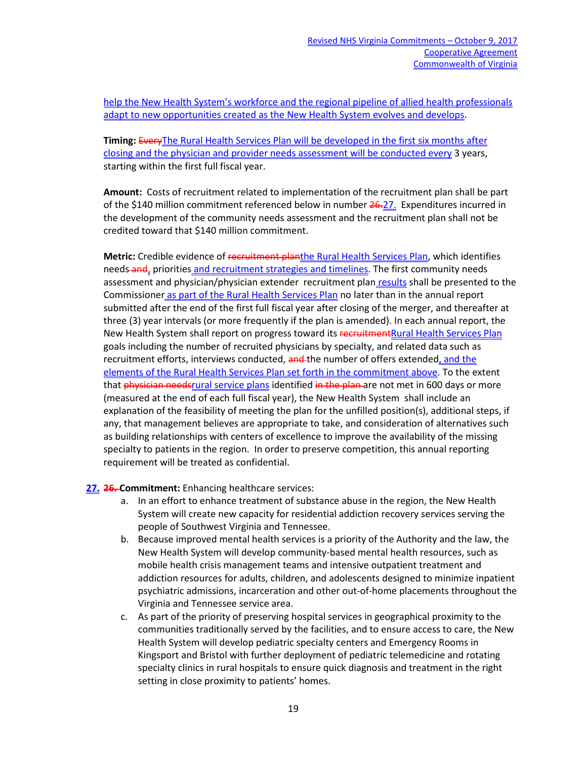help the New Health System's workforce and the regional pipeline of allied health professionals adapt to new opportunities created as the New Health System evolves and develops.

**Timing:** EveryThe Rural Health Services Plan will be developed in the first six months after closing and the physician and provider needs assessment will be conducted every 3 years, starting within the first full fiscal year.

**Amount:** Costs of recruitment related to implementation of the recruitment plan shall be part of the \$140 million commitment referenced below in number  $26-27$ . Expenditures incurred in the development of the community needs assessment and the recruitment plan shall not be credited toward that \$140 million commitment.

**Metric:** Credible evidence of recruitment planthe Rural Health Services Plan, which identifies needs-and, priorities and recruitment strategies and timelines. The first community needs assessment and physician/physician extender recruitment plan results shall be presented to the Commissioner as part of the Rural Health Services Plan no later than in the annual report submitted after the end of the first full fiscal year after closing of the merger, and thereafter at three (3) year intervals (or more frequently if the plan is amended). In each annual report, the New Health System shall report on progress toward its recruitment Rural Health Services Plan goals including the number of recruited physicians by specialty, and related data such as recruitment efforts, interviews conducted, and the number of offers extended, and the elements of the Rural Health Services Plan set forth in the commitment above. To the extent that physician needsrural service plans identified in the plan are not met in 600 days or more (measured at the end of each full fiscal year), the New Health System shall include an explanation of the feasibility of meeting the plan for the unfilled position(s), additional steps, if any, that management believes are appropriate to take, and consideration of alternatives such as building relationships with centers of excellence to improve the availability of the missing specialty to patients in the region. In order to preserve competition, this annual reporting requirement will be treated as confidential.

**27. 26. Commitment:** Enhancing healthcare services:

- a. In an effort to enhance treatment of substance abuse in the region, the New Health System will create new capacity for residential addiction recovery services serving the people of Southwest Virginia and Tennessee.
- b. Because improved mental health services is a priority of the Authority and the law, the New Health System will develop community-based mental health resources, such as mobile health crisis management teams and intensive outpatient treatment and addiction resources for adults, children, and adolescents designed to minimize inpatient psychiatric admissions, incarceration and other out-of-home placements throughout the Virginia and Tennessee service area.
- c. As part of the priority of preserving hospital services in geographical proximity to the communities traditionally served by the facilities, and to ensure access to care, the New Health System will develop pediatric specialty centers and Emergency Rooms in Kingsport and Bristol with further deployment of pediatric telemedicine and rotating specialty clinics in rural hospitals to ensure quick diagnosis and treatment in the right setting in close proximity to patients' homes.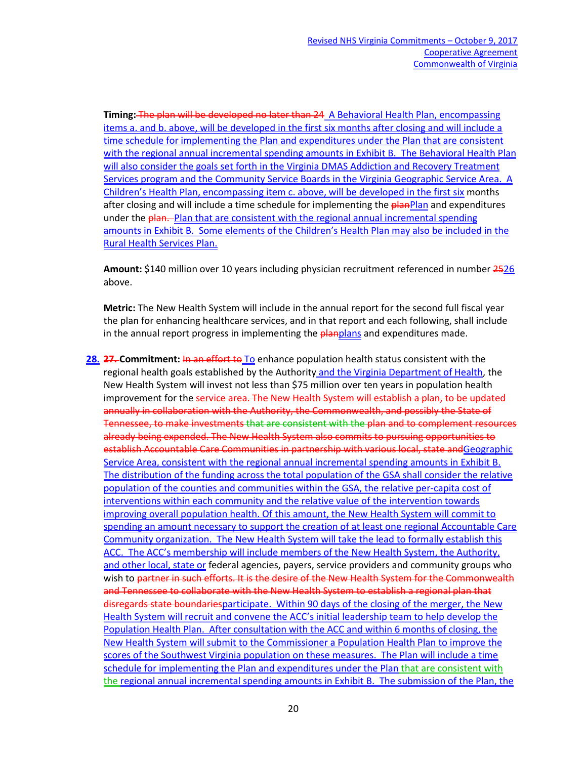**Timing:** The plan will be developed no later than 24 A Behavioral Health Plan, encompassing items a. and b. above, will be developed in the first six months after closing and will include a time schedule for implementing the Plan and expenditures under the Plan that are consistent with the regional annual incremental spending amounts in Exhibit B. The Behavioral Health Plan will also consider the goals set forth in the Virginia DMAS Addiction and Recovery Treatment Services program and the Community Service Boards in the Virginia Geographic Service Area. A Children's Health Plan, encompassing item c. above, will be developed in the first six months after closing and will include a time schedule for implementing the planPlan and expenditures under the plan. Plan that are consistent with the regional annual incremental spending amounts in Exhibit B. Some elements of the Children's Health Plan may also be included in the Rural Health Services Plan.

**Amount:** \$140 million over 10 years including physician recruitment referenced in number 2526 above.

**Metric:** The New Health System will include in the annual report for the second full fiscal year the plan for enhancing healthcare services, and in that report and each following, shall include in the annual report progress in implementing the **planplans** and expenditures made.

**28. 27. Commitment:** In an effort to To enhance population health status consistent with the regional health goals established by the Authority and the Virginia Department of Health, the New Health System will invest not less than \$75 million over ten years in population health improvement for the service area. The New Health System will establish a plan, to be updated annually in collaboration with the Authority, the Commonwealth, and possibly the State of Tennessee, to make investments that are consistent with the plan and to complement resources already being expended. The New Health System also commits to pursuing opportunities to establish Accountable Care Communities in partnership with various local, state andGeographic Service Area, consistent with the regional annual incremental spending amounts in Exhibit B. The distribution of the funding across the total population of the GSA shall consider the relative population of the counties and communities within the GSA, the relative per-capita cost of interventions within each community and the relative value of the intervention towards improving overall population health. Of this amount, the New Health System will commit to spending an amount necessary to support the creation of at least one regional Accountable Care Community organization. The New Health System will take the lead to formally establish this ACC. The ACC's membership will include members of the New Health System, the Authority, and other local, state or federal agencies, payers, service providers and community groups who wish to partner in such efforts. It is the desire of the New Health System for the Commonwealth and Tennessee to collaborate with the New Health System to establish a regional plan that disregards state boundariesparticipate. Within 90 days of the closing of the merger, the New Health System will recruit and convene the ACC's initial leadership team to help develop the Population Health Plan. After consultation with the ACC and within 6 months of closing, the New Health System will submit to the Commissioner a Population Health Plan to improve the scores of the Southwest Virginia population on these measures. The Plan will include a time schedule for implementing the Plan and expenditures under the Plan that are consistent with the regional annual incremental spending amounts in Exhibit B. The submission of the Plan, the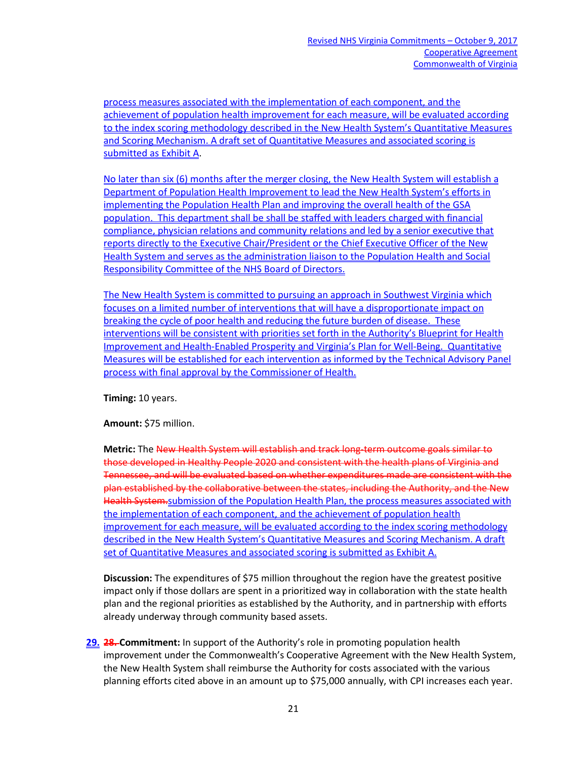process measures associated with the implementation of each component, and the achievement of population health improvement for each measure, will be evaluated according to the index scoring methodology described in the New Health System's Quantitative Measures and Scoring Mechanism. A draft set of Quantitative Measures and associated scoring is submitted as Exhibit A.

No later than six (6) months after the merger closing, the New Health System will establish a Department of Population Health Improvement to lead the New Health System's efforts in implementing the Population Health Plan and improving the overall health of the GSA population. This department shall be shall be staffed with leaders charged with financial compliance, physician relations and community relations and led by a senior executive that reports directly to the Executive Chair/President or the Chief Executive Officer of the New Health System and serves as the administration liaison to the Population Health and Social Responsibility Committee of the NHS Board of Directors.

The New Health System is committed to pursuing an approach in Southwest Virginia which focuses on a limited number of interventions that will have a disproportionate impact on breaking the cycle of poor health and reducing the future burden of disease. These interventions will be consistent with priorities set forth in the Authority's Blueprint for Health Improvement and Health-Enabled Prosperity and Virginia's Plan for Well-Being. Quantitative Measures will be established for each intervention as informed by the Technical Advisory Panel process with final approval by the Commissioner of Health.

**Timing:** 10 years.

**Amount:** \$75 million.

**Metric:** The New Health System will establish and track long-term outcome goals similar to those developed in Healthy People 2020 and consistent with the health plans of Virginia and Tennessee, and will be evaluated based on whether expenditures made are consistent with the plan established by the collaborative between the states, including the Authority, and the New Health System.submission of the Population Health Plan, the process measures associated with the implementation of each component, and the achievement of population health improvement for each measure, will be evaluated according to the index scoring methodology described in the New Health System's Quantitative Measures and Scoring Mechanism. A draft set of Quantitative Measures and associated scoring is submitted as Exhibit A.

**Discussion:** The expenditures of \$75 million throughout the region have the greatest positive impact only if those dollars are spent in a prioritized way in collaboration with the state health plan and the regional priorities as established by the Authority, and in partnership with efforts already underway through community based assets.

**29. 28. Commitment:** In support of the Authority's role in promoting population health improvement under the Commonwealth's Cooperative Agreement with the New Health System, the New Health System shall reimburse the Authority for costs associated with the various planning efforts cited above in an amount up to \$75,000 annually, with CPI increases each year.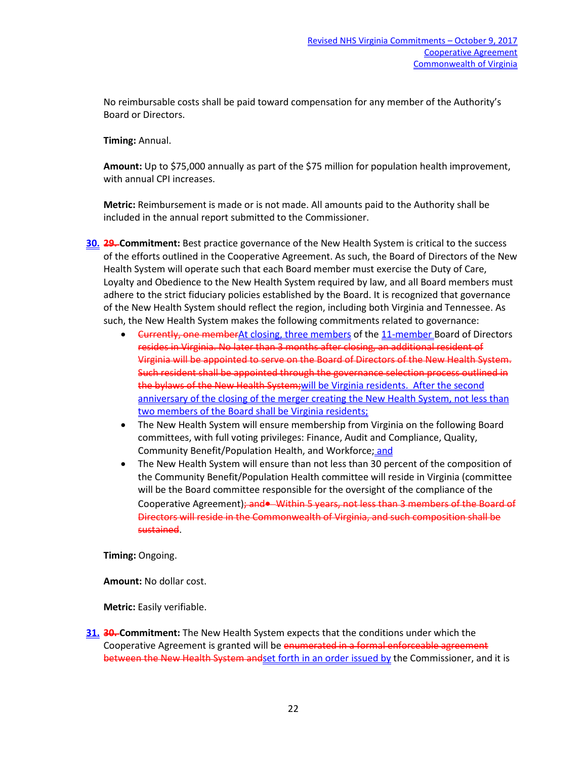No reimbursable costs shall be paid toward compensation for any member of the Authority's Board or Directors.

**Timing:** Annual.

**Amount:** Up to \$75,000 annually as part of the \$75 million for population health improvement, with annual CPI increases.

**Metric:** Reimbursement is made or is not made. All amounts paid to the Authority shall be included in the annual report submitted to the Commissioner.

- **30. 29. Commitment:** Best practice governance of the New Health System is critical to the success of the efforts outlined in the Cooperative Agreement. As such, the Board of Directors of the New Health System will operate such that each Board member must exercise the Duty of Care, Loyalty and Obedience to the New Health System required by law, and all Board members must adhere to the strict fiduciary policies established by the Board. It is recognized that governance of the New Health System should reflect the region, including both Virginia and Tennessee. As such, the New Health System makes the following commitments related to governance:
	- Currently, one memberAt closing, three members of the 11-member Board of Directors resides in Virginia. No later than 3 months after closing, an additional resident of Virginia will be appointed to serve on the Board of Directors of the New Health System. Such resident shall be appointed through the governance selection process outlined in the bylaws of the New Health System; will be Virginia residents. After the second anniversary of the closing of the merger creating the New Health System, not less than two members of the Board shall be Virginia residents;
	- The New Health System will ensure membership from Virginia on the following Board committees, with full voting privileges: Finance, Audit and Compliance, Quality, Community Benefit/Population Health, and Workforce; and
	- The New Health System will ensure than not less than 30 percent of the composition of the Community Benefit/Population Health committee will reside in Virginia (committee will be the Board committee responsible for the oversight of the compliance of the Cooperative Agreement); and • Within 5 years, not less than 3 members of the Board of Directors will reside in the Commonwealth of Virginia, and such composition shall be sustained.

**Timing:** Ongoing.

**Amount:** No dollar cost.

**Metric:** Easily verifiable.

**31. 30. Commitment:** The New Health System expects that the conditions under which the Cooperative Agreement is granted will be enumerated in a formal enforceable agreement between the New Health System andset forth in an order issued by the Commissioner, and it is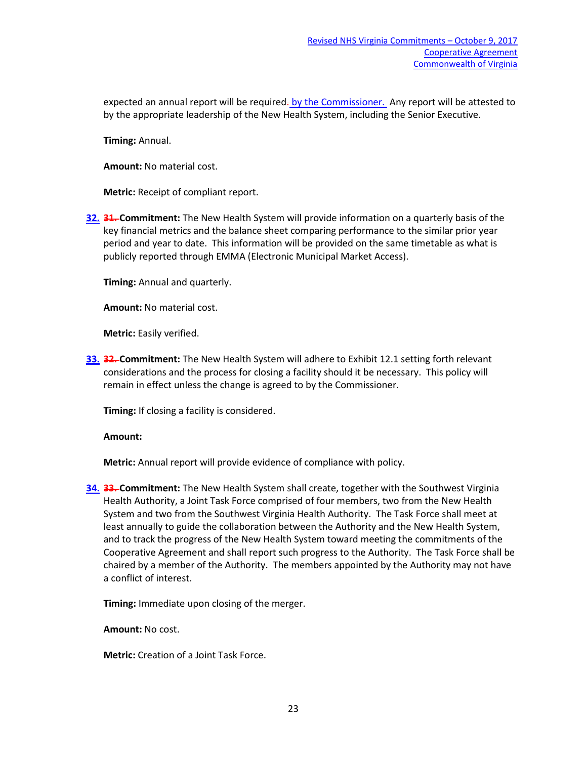expected an annual report will be required. by the Commissioner. Any report will be attested to by the appropriate leadership of the New Health System, including the Senior Executive.

**Timing:** Annual.

**Amount:** No material cost.

**Metric:** Receipt of compliant report.

**32. 31. Commitment:** The New Health System will provide information on a quarterly basis of the key financial metrics and the balance sheet comparing performance to the similar prior year period and year to date. This information will be provided on the same timetable as what is publicly reported through EMMA (Electronic Municipal Market Access).

**Timing:** Annual and quarterly.

**Amount:** No material cost.

**Metric:** Easily verified.

**33. 32. Commitment:** The New Health System will adhere to Exhibit 12.1 setting forth relevant considerations and the process for closing a facility should it be necessary. This policy will remain in effect unless the change is agreed to by the Commissioner.

**Timing:** If closing a facility is considered.

**Amount:**

**Metric:** Annual report will provide evidence of compliance with policy.

**34. 33. Commitment:** The New Health System shall create, together with the Southwest Virginia Health Authority, a Joint Task Force comprised of four members, two from the New Health System and two from the Southwest Virginia Health Authority. The Task Force shall meet at least annually to guide the collaboration between the Authority and the New Health System, and to track the progress of the New Health System toward meeting the commitments of the Cooperative Agreement and shall report such progress to the Authority. The Task Force shall be chaired by a member of the Authority. The members appointed by the Authority may not have a conflict of interest.

**Timing:** Immediate upon closing of the merger.

**Amount:** No cost.

**Metric:** Creation of a Joint Task Force.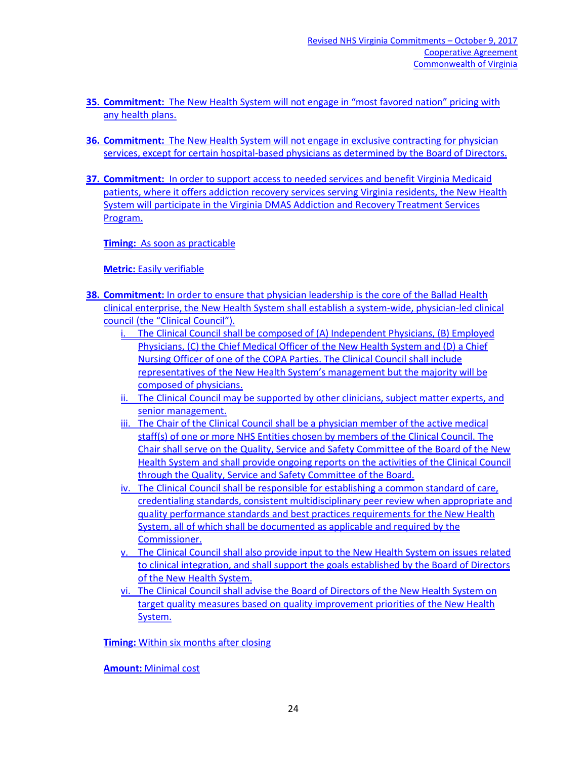- **35. Commitment:** The New Health System will not engage in "most favored nation" pricing with any health plans.
- **36. Commitment:** The New Health System will not engage in exclusive contracting for physician services, except for certain hospital-based physicians as determined by the Board of Directors.
- **37. Commitment:** In order to support access to needed services and benefit Virginia Medicaid patients, where it offers addiction recovery services serving Virginia residents, the New Health System will participate in the Virginia DMAS Addiction and Recovery Treatment Services Program.

**Timing:** As soon as practicable

**Metric:** Easily verifiable

- **38. Commitment:** In order to ensure that physician leadership is the core of the Ballad Health clinical enterprise, the New Health System shall establish a system-wide, physician-led clinical council (the "Clinical Council").
	- i. The Clinical Council shall be composed of (A) Independent Physicians, (B) Employed Physicians, (C) the Chief Medical Officer of the New Health System and (D) a Chief Nursing Officer of one of the COPA Parties. The Clinical Council shall include representatives of the New Health System's management but the majority will be composed of physicians.
	- ii. The Clinical Council may be supported by other clinicians, subject matter experts, and senior management.
	- iii. The Chair of the Clinical Council shall be a physician member of the active medical staff(s) of one or more NHS Entities chosen by members of the Clinical Council. The Chair shall serve on the Quality, Service and Safety Committee of the Board of the New Health System and shall provide ongoing reports on the activities of the Clinical Council through the Quality, Service and Safety Committee of the Board.
	- iv. The Clinical Council shall be responsible for establishing a common standard of care, credentialing standards, consistent multidisciplinary peer review when appropriate and quality performance standards and best practices requirements for the New Health System, all of which shall be documented as applicable and required by the Commissioner.
	- v. The Clinical Council shall also provide input to the New Health System on issues related to clinical integration, and shall support the goals established by the Board of Directors of the New Health System.
	- vi. The Clinical Council shall advise the Board of Directors of the New Health System on target quality measures based on quality improvement priorities of the New Health System.

**Timing:** Within six months after closing

**Amount:** Minimal cost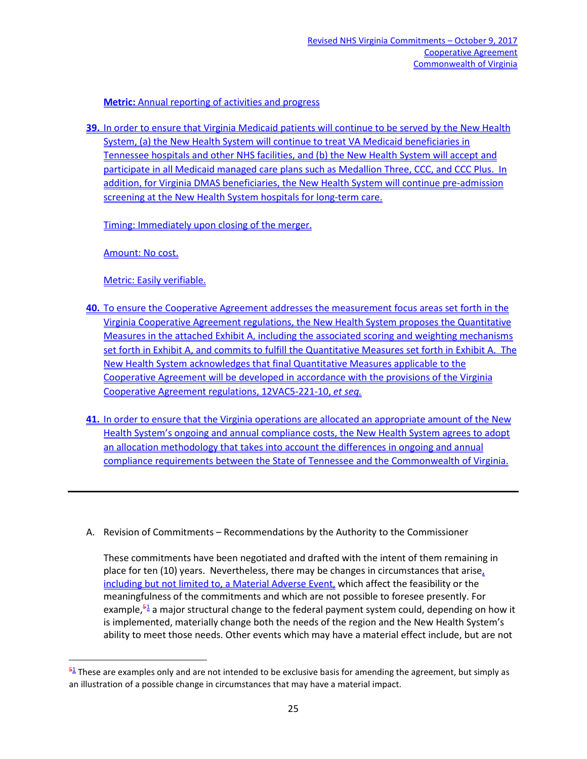**Metric:** Annual reporting of activities and progress

**39.** In order to ensure that Virginia Medicaid patients will continue to be served by the New Health System, (a) the New Health System will continue to treat VA Medicaid beneficiaries in Tennessee hospitals and other NHS facilities, and (b) the New Health System will accept and participate in all Medicaid managed care plans such as Medallion Three, CCC, and CCC Plus. In addition, for Virginia DMAS beneficiaries, the New Health System will continue pre-admission screening at the New Health System hospitals for long-term care.

Timing: Immediately upon closing of the merger.

Amount: No cost.

Metric: Easily verifiable.

- **40.** To ensure the Cooperative Agreement addresses the measurement focus areas set forth in the Virginia Cooperative Agreement regulations, the New Health System proposes the Quantitative Measures in the attached Exhibit A, including the associated scoring and weighting mechanisms set forth in Exhibit A, and commits to fulfill the Quantitative Measures set forth in Exhibit A. The New Health System acknowledges that final Quantitative Measures applicable to the Cooperative Agreement will be developed in accordance with the provisions of the Virginia Cooperative Agreement regulations, 12VAC5-221-10, *et seq.*
- **41.** In order to ensure that the Virginia operations are allocated an appropriate amount of the New Health System's ongoing and annual compliance costs, the New Health System agrees to adopt an allocation methodology that takes into account the differences in ongoing and annual compliance requirements between the State of Tennessee and the Commonwealth of Virginia.
- A. Revision of Commitments Recommendations by the Authority to the Commissioner

These commitments have been negotiated and drafted with the intent of them remaining in place for ten (10) years. Nevertheless, there may be changes in circumstances that arise, including but not limited to, a Material Adverse Event, which affect the feasibility or the meaningfulness of the commitments and which are not possible to foresee presently. For example, $5\frac{1}{2}$  $5\frac{1}{2}$  $5\frac{1}{2}$  a major structural change to the federal payment system could, depending on how it is implemented, materially change both the needs of the region and the New Health System's ability to meet those needs. Other events which may have a material effect include, but are not

<span id="page-24-0"></span> $\frac{51}{2}$  These are examples only and are not intended to be exclusive basis for amending the agreement, but simply as an illustration of a possible change in circumstances that may have a material impact.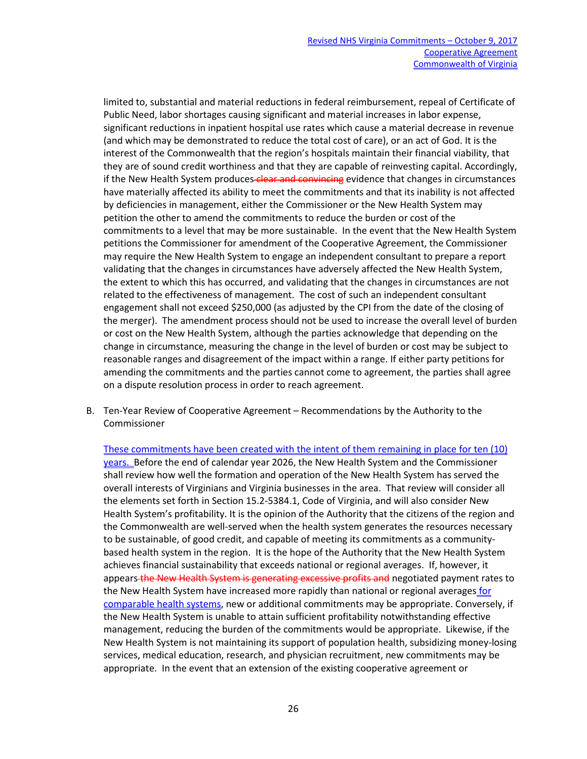limited to, substantial and material reductions in federal reimbursement, repeal of Certificate of Public Need, labor shortages causing significant and material increases in labor expense, significant reductions in inpatient hospital use rates which cause a material decrease in revenue (and which may be demonstrated to reduce the total cost of care), or an act of God. It is the interest of the Commonwealth that the region's hospitals maintain their financial viability, that they are of sound credit worthiness and that they are capable of reinvesting capital. Accordingly, if the New Health System produces-clear and convincing evidence that changes in circumstances have materially affected its ability to meet the commitments and that its inability is not affected by deficiencies in management, either the Commissioner or the New Health System may petition the other to amend the commitments to reduce the burden or cost of the commitments to a level that may be more sustainable. In the event that the New Health System petitions the Commissioner for amendment of the Cooperative Agreement, the Commissioner may require the New Health System to engage an independent consultant to prepare a report validating that the changes in circumstances have adversely affected the New Health System, the extent to which this has occurred, and validating that the changes in circumstances are not related to the effectiveness of management. The cost of such an independent consultant engagement shall not exceed \$250,000 (as adjusted by the CPI from the date of the closing of the merger). The amendment process should not be used to increase the overall level of burden or cost on the New Health System, although the parties acknowledge that depending on the change in circumstance, measuring the change in the level of burden or cost may be subject to reasonable ranges and disagreement of the impact within a range. If either party petitions for amending the commitments and the parties cannot come to agreement, the parties shall agree on a dispute resolution process in order to reach agreement.

B. Ten-Year Review of Cooperative Agreement – Recommendations by the Authority to the Commissioner

These commitments have been created with the intent of them remaining in place for ten (10) years. Before the end of calendar year 2026, the New Health System and the Commissioner shall review how well the formation and operation of the New Health System has served the overall interests of Virginians and Virginia businesses in the area. That review will consider all the elements set forth in Section 15.2-5384.1, Code of Virginia, and will also consider New Health System's profitability. It is the opinion of the Authority that the citizens of the region and the Commonwealth are well-served when the health system generates the resources necessary to be sustainable, of good credit, and capable of meeting its commitments as a communitybased health system in the region. It is the hope of the Authority that the New Health System achieves financial sustainability that exceeds national or regional averages. If, however, it appears the New Health System is generating excessive profits and negotiated payment rates to the New Health System have increased more rapidly than national or regional averages for comparable health systems, new or additional commitments may be appropriate. Conversely, if the New Health System is unable to attain sufficient profitability notwithstanding effective management, reducing the burden of the commitments would be appropriate. Likewise, if the New Health System is not maintaining its support of population health, subsidizing money-losing services, medical education, research, and physician recruitment, new commitments may be appropriate. In the event that an extension of the existing cooperative agreement or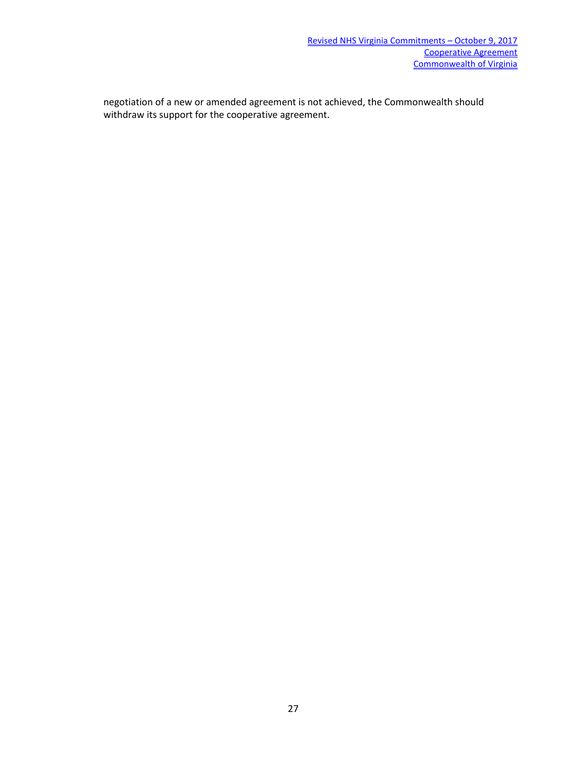negotiation of a new or amended agreement is not achieved, the Commonwealth should withdraw its support for the cooperative agreement.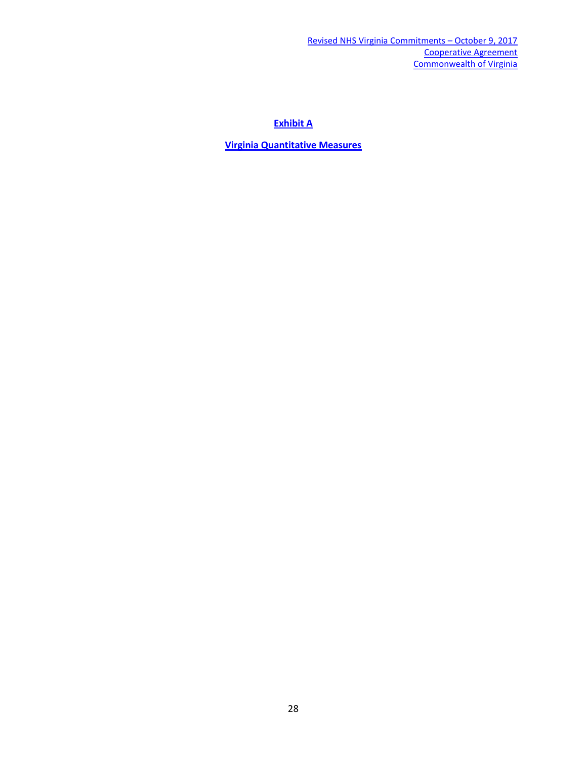**Exhibit A**

**Virginia Quantitative Measures**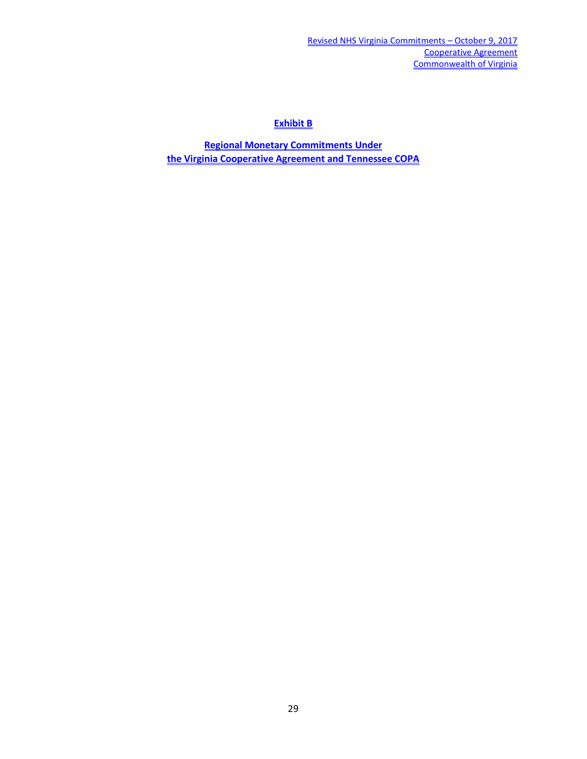## **Exhibit B**

**Regional Monetary Commitments Under the Virginia Cooperative Agreement and Tennessee COPA**